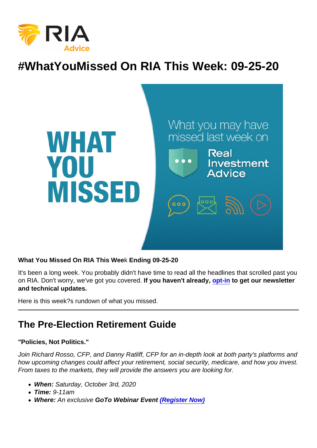# #WhatYouMissed On RIA This Week: 09-25-20

What You Missed On RIA This Wee k Ending 09-25-20

It's been a long week. You probably didn't have time to read all the headlines that scrolled past you on RIA. Don't worry, we've got you covered. If you haven't already, [opt-in](https://bit.ly/2Ph7UEL) to get our newsletter and technical updates.

Here is this week?s rundown of what you missed.

## The Pre-Election Retirement Guide

"Policies, Not Politics."

Join Richard Rosso, CFP, and Danny Ratliff, CFP for an in-depth look at both party's platforms and how upcoming changes could affect your retirement, social security, medicare, and how you invest. From taxes to the markets, they will provide the answers you are looking for.

- When: Saturday, October 3rd, 2020
- Time: 9-11am
- Where: An exclusive GoTo Webinar Event [\(Register Now\)](https://attendee.gotowebinar.com/register/7732874483755298830?source=Ria+website)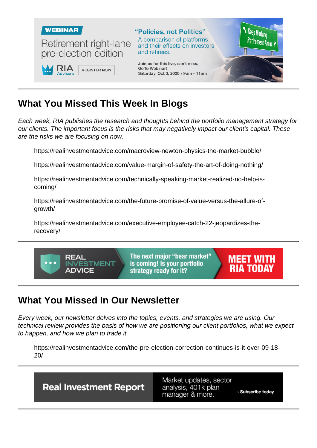## What You Missed This Week I n Blogs

Each week, RIA publishes the research and thoughts behind the portfolio management strategy for our clients. The important focus is the risks that may negatively impact our client's capital. These are the risks we are focusing on now.

https://realinvestmentadvice.com/macroview-newton-physics-the-market-bubble/

https://realinvestmentadvice.com/value-margin-of-safety-the-art-of-doing-nothing/

https://realinvestmentadvice.com/technically-speaking-market-realized-no-help-iscoming/

https://realinvestmentadvice.com/the-future-promise-of-value-versus-the-allure-ofgrowth/

https://realinvestmentadvice.com/executive-employee-catch-22-jeopardizes-therecovery/

## What You Missed In Our Newsletter

Every week, our newsletter delves into the topics, events, and strategies we are using. Our technical review provides the basis of how we are positioning our client portfolios, what we expect to happen, and how we plan to trade it.

https://realinvestmentadvice.com/the-pre-election-correction-continues-is-it-over-09-18- 20/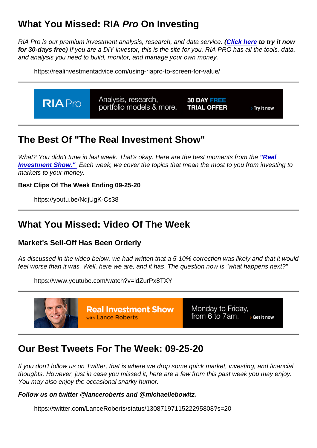## What You Missed: RIA Pro On Investing

RIA Pro is our premium investment analysis, research, and data service. [\(Click here](https://riapro.net/register) to try it now for 30-days free) If you are a DIY investor, this is the site for you. RIA PRO has all the tools, data, and analysis you need to build, monitor, and manage your own money.

https://realinvestmentadvice.com/using-riapro-to-screen-for-value/

## The Best Of "The Real Investment Show"

What? You didn't tune in last week. That's okay. Here are the best moments from the ["Real](https://www.youtube.com/channel/UCXVMMgEidXlrTM1coedg70A/videos) [Investment Show."](https://www.youtube.com/channel/UCXVMMgEidXlrTM1coedg70A/videos) Each week, we cover the topics that mean the most to you from investing to markets to your money.

Best Clips Of The Week Ending 09-25-20

https://youtu.be/NdjUgK-Cs38

#### What You Missed: Video Of The Week

Market's Sell-Off Has Been Orderly

As discussed in the video below, we had written that a 5-10% correction was likely and that it would feel worse than it was. Well, here we are, and it has. The question now is "what happens next?"

https://www.youtube.com/watch?v=ldZurPx8TXY

#### Our Best Tweets For The Week: 09-25-20

If you don't follow us on Twitter, that is where we drop some quick market, investing, and financial thoughts. However, just in case you missed it, here are a few from this past week you may enjoy. You may also enjoy the occasional snarky humor.

Follow us on twitter @lanceroberts and @michaellebowitz.

https://twitter.com/LanceRoberts/status/1308719711522295808?s=20